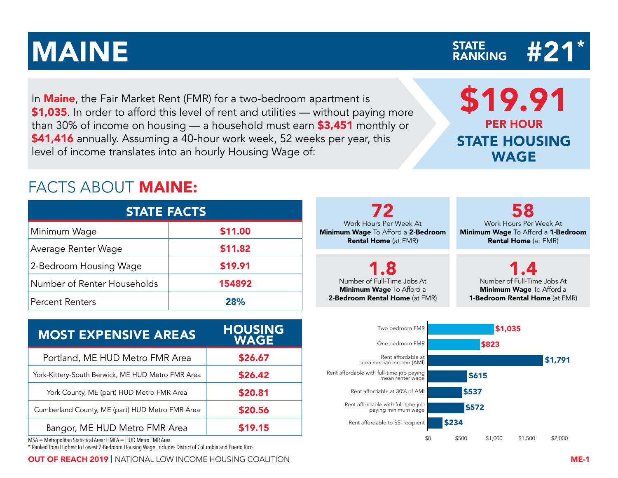In **Maine**, the Fair Market Rent (FMR) for a two-bedroom apartment is \$1,035. In order to afford this level of rent and utilities — without paying more than 30% of income on housing — a household must earn \$3,451 monthly or \$41,416 annually. Assuming a 40-hour work week, 52 weeks per year, this level of income translates into an hourly Housing Wage of:

## FACTS ABOUT MAINE:

| <b>STATE FACTS</b>          |         |  |  |  |  |  |  |  |  |
|-----------------------------|---------|--|--|--|--|--|--|--|--|
| Minimum Wage                | \$11.00 |  |  |  |  |  |  |  |  |
| Average Renter Wage         | \$11.82 |  |  |  |  |  |  |  |  |
| 2-Bedroom Housing Wage      | \$19.91 |  |  |  |  |  |  |  |  |
| Number of Renter Households | 154892  |  |  |  |  |  |  |  |  |
| <b>Percent Renters</b>      | 28%     |  |  |  |  |  |  |  |  |

| <b>MOST EXPENSIVE AREAS</b>                       | <b>HOUSING</b><br><b>WAGE</b> |
|---------------------------------------------------|-------------------------------|
| Portland, ME HUD Metro FMR Area                   | \$26.67                       |
| York-Kittery-South Berwick, ME HUD Metro FMR Area | \$26.42                       |
| York County, ME (part) HUD Metro FMR Area         | \$20.81                       |
| Cumberland County, ME (part) HUD Metro FMR Area   | \$20.56                       |
| Bangor, ME HUD Metro FMR Area                     | \$19.15                       |

MSA = Metropolitan Statistical Area: HMFA = HUD Metro FMR Area.

\* Ranked from Highest to Lowest 2-Bedroom Housing Wage. Includes District of Columbia and Puerto Rico.

OUT OF REACH 2019 | NATIONAL LOW INCOME HOUSING COALITION ME-1

72 Work Hours Per Week At Minimum Wage To Afford a 2-Bedroom Rental Home (at FMR) 58 Work Hours Per Week At Minimum Wage To Afford a 1-Bedroom Rental Home (at FMR) 1.8 Number of Full-Time Jobs At Minimum Wage To Afford a 2-Bedroom Rental Home (at FMR) 1.4 Number of Full-Time Jobs At Minimum Wage To Afford a 1-Bedroom Rental Home (at FMR) Two bedroom FMR One bedroom FMR Rent affordable at area median income (AMI) mean renter wage \$1,035 \$823 \$1,791 \$615



STATE HOUSING WAGE

### $\text{MAINE} \qquad \qquad \text{STATE} \qquad \qquad \text{H21*}$ STATE<br>RANKING

\$19.91

PER HOUR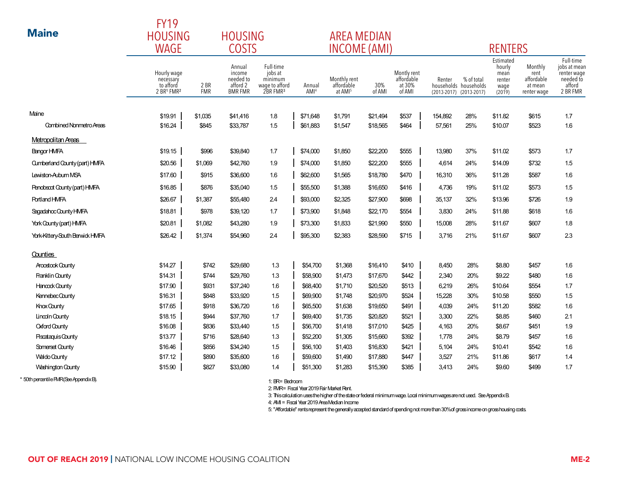| <b>Maine</b>                    | <b>FY19</b><br><b>HOUSING</b><br><b>WAGE</b>        |                    | <b>HOUSING</b><br><b>COSTS</b>                              |                                                                           |                            | <b>AREA MEDIAN</b><br><b>INCOME (AMI)</b>         |               |                                               |         |                                                                | <b>RENTERS</b>                                          |                                                         |                                                    |
|---------------------------------|-----------------------------------------------------|--------------------|-------------------------------------------------------------|---------------------------------------------------------------------------|----------------------------|---------------------------------------------------|---------------|-----------------------------------------------|---------|----------------------------------------------------------------|---------------------------------------------------------|---------------------------------------------------------|----------------------------------------------------|
|                                 | Hourly wage<br>necessary<br>to afford<br>2 BR1 FMR2 | 2 BR<br><b>FMR</b> | Annual<br>income<br>needed to<br>afford 2<br><b>BMR FMR</b> | Full-time<br>jobs at<br>minimum<br>wage to afford<br>2BR FMR <sup>3</sup> | Annual<br>AMI <sup>4</sup> | Monthly rent<br>affordable<br>at AMI <sup>5</sup> | 30%<br>of AMI | Montly rent<br>affordable<br>at 30%<br>of AMI | Renter  | % of total<br>households households<br>(2013-2017) (2013-2017) | Estimated<br>hourly<br>mean<br>renter<br>wage<br>(2019) | Monthly<br>rent<br>affordable<br>at mean<br>renter wage | Full-<br>jobs at<br>renter<br>need<br>affo<br>2 BR |
| Maine                           | \$19.91                                             | \$1,035            | \$41,416                                                    | 1.8                                                                       | \$71,648                   | \$1,791                                           | \$21,494      | \$537                                         | 154,892 | 28%                                                            | \$11.82                                                 | \$615                                                   | 1.7                                                |
| <b>Combined Nonmetro Areas</b>  | \$16.24                                             | \$845              | \$33,787                                                    | 1.5                                                                       | \$61,883                   | \$1,547                                           | \$18,565      | \$464                                         | 57,561  | 25%                                                            | \$10.07                                                 | \$523                                                   | 1.6                                                |
| Metropolitan Areas              |                                                     |                    |                                                             |                                                                           |                            |                                                   |               |                                               |         |                                                                |                                                         |                                                         |                                                    |
| Bangor HMFA                     | \$19.15                                             | \$996              | \$39,840                                                    | 1.7                                                                       | \$74,000                   | \$1,850                                           | \$22,200      | \$555                                         | 13,980  | 37%                                                            | \$11.02                                                 | \$573                                                   | 1.7                                                |
| Cumberland County (part) HMFA   | \$20.56                                             | \$1,069            | \$42,760                                                    | 1.9                                                                       | \$74,000                   | \$1,850                                           | \$22,200      | \$555                                         | 4.614   | 24%                                                            | \$14.09                                                 | \$732                                                   | 1.5                                                |
| Lewiston-Auburn MSA             | \$17.60                                             | \$915              | \$36,600                                                    | 1.6                                                                       | \$62,600                   | \$1,565                                           | \$18,780      | \$470                                         | 16,310  | 36%                                                            | \$11.28                                                 | \$587                                                   | 1.6                                                |
| Penobscot County (part) HMFA    | \$16.85                                             | \$876              | \$35,040                                                    | 1.5                                                                       | \$55,500                   | \$1,388                                           | \$16,650      | \$416                                         | 4,736   | 19%                                                            | \$11.02                                                 | \$573                                                   | 1.5                                                |
| <b>Portland HMFA</b>            | \$26.67                                             | \$1,387            | \$55,480                                                    | 2.4                                                                       | \$93,000                   | \$2,325                                           | \$27,900      | \$698                                         | 35,137  | 32%                                                            | \$13.96                                                 | \$726                                                   | 1.9                                                |
| Sagadahoc County HMFA           | \$18.81                                             | \$978              | \$39,120                                                    | 1.7                                                                       | \$73,900                   | \$1,848                                           | \$22,170      | \$554                                         | 3,830   | 24%                                                            | \$11.88                                                 | \$618                                                   | 1.6                                                |
| York County (part) HMFA         | \$20.81                                             | \$1,082            | \$43,280                                                    | 1.9                                                                       | \$73,300                   | \$1,833                                           | \$21,990      | \$550                                         | 15,008  | 28%                                                            | \$11.67                                                 | \$607                                                   | 1.8                                                |
| York-Kittery-South Berwick HMFA | \$26.42                                             | \$1,374            | \$54,960                                                    | 2.4                                                                       | \$95,300                   | \$2,383                                           | \$28,590      | \$715                                         | 3,716   | 21%                                                            | \$11.67                                                 | \$607                                                   | 2.3                                                |
| Counties                        |                                                     |                    |                                                             |                                                                           |                            |                                                   |               |                                               |         |                                                                |                                                         |                                                         |                                                    |
| <b>Aroostook County</b>         | \$14.27                                             | \$742              | \$29,680                                                    | 1.3                                                                       | \$54,700                   | \$1,368                                           | \$16,410      | \$410                                         | 8,450   | 28%                                                            | \$8.80                                                  | \$457                                                   | 1.6                                                |
| Franklin County                 | \$14.31                                             | \$744              | \$29,760                                                    | 1.3                                                                       | \$58,900                   | \$1,473                                           | \$17,670      | \$442                                         | 2,340   | 20%                                                            | \$9.22                                                  | \$480                                                   | 1.6                                                |
| Hancock County                  | \$17.90                                             | \$931              | \$37,240                                                    | 1.6                                                                       | \$68,400                   | \$1,710                                           | \$20,520      | \$513                                         | 6,219   | 26%                                                            | \$10.64                                                 | \$554                                                   | 1.7                                                |
| Kennebec County                 | \$16.31                                             | \$848              | \$33,920                                                    | 1.5                                                                       | \$69.900                   | \$1.748                                           | \$20.970      | \$524                                         | 15,228  | 30%                                                            | \$10.58                                                 | \$550                                                   | 1.5                                                |

\* 50th percentile FMR (See Appendix B).

1: BR= Bedroom

2: FMR= Fiscal Year 2019 Fair Market Rent.

KnoxCounty \$17.65 | \$918 \$36,720 1.6 | \$65,500 \$1,638 \$491 | 4,039 24% \$11.20 \$582 1.6 Lincoln County \$18.15 | \$944 \$37,760 1.7 | \$69,400 \$1,735 \$20,820 \$521 | 3,300 22% \$8.85 \$460 2.1 Oxford County \$16.08 | \$836 \$33,440 1.5 | \$56,700 \$1,418 \$1,010 \$425 | 4,163 20% \$8.67 \$451 1.9 Piscataquis County \$13.77 | \$716 \$28,640 1.3 | \$52,200 \$1,505 \$15,660 \$392 | 1,778 24% \$8.79 \$457 1.6 Somerset County \$16.46 | \$856 \$34,240 1.5 | \$56,100 \$1,403 \$16,830 \$421 | 5,104 24% \$10.41 \$542 1.6 Waldo County \$17.12 | \$890 \$35,600 1.6 | \$59,600 \$1,490 \$17,880 \$447 | 3,527 21% \$11.86 \$617 1.4 Washington County \$15.90 | \$827 \$33,080 1.4 | \$51,300 \$1,283 \$15,390 \$385 | 3,413 24% \$9.60 \$499 1.7

3: This calculation uses the higher of the state or federal minimum wage. Local minimum wages are not used. See Appendix B.

4: AMI = Fiscal Year 2019 Area Median Income

5: "Affordable" rents represent the generally accepted standard of spending not more than 30% of gross income on gross housing costs.

Full-time jobs at mean renter wage needed to afford 2 BR FMR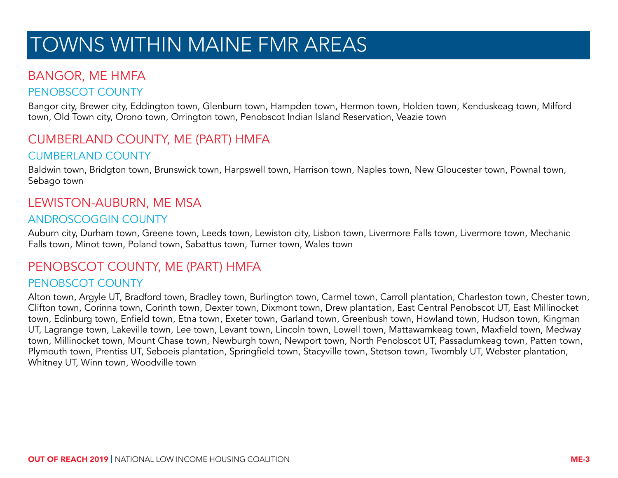# TOWNS WITHIN MAINE FMR AREAS

### BANGOR, ME HMFA

#### PENOBSCOT COUNTY

Bangor city, Brewer city, Eddington town, Glenburn town, Hampden town, Hermon town, Holden town, Kenduskeag town, Milford town, Old Town city, Orono town, Orrington town, Penobscot Indian Island Reservation, Veazie town

### CUMBERLAND COUNTY, ME (PART) HMFA

#### CUMBERLAND COUNTY

Baldwin town, Bridgton town, Brunswick town, Harpswell town, Harrison town, Naples town, New Gloucester town, Pownal town, Sebago town

### LEWISTON-AUBURN, ME MSA

#### ANDROSCOGGIN COUNTY

Auburn city, Durham town, Greene town, Leeds town, Lewiston city, Lisbon town, Livermore Falls town, Livermore town, Mechanic Falls town, Minot town, Poland town, Sabattus town, Turner town, Wales town

### PENOBSCOT COUNTY, ME (PART) HMFA

#### PENOBSCOT COUNTY

Alton town, Argyle UT, Bradford town, Bradley town, Burlington town, Carmel town, Carroll plantation, Charleston town, Chester town, Clifton town, Corinna town, Corinth town, Dexter town, Dixmont town, Drew plantation, East Central Penobscot UT, East Millinocket town, Edinburg town, Enfield town, Etna town, Exeter town, Garland town, Greenbush town, Howland town, Hudson town, Kingman UT, Lagrange town, Lakeville town, Lee town, Levant town, Lincoln town, Lowell town, Mattawamkeag town, Maxfield town, Medway town, Millinocket town, Mount Chase town, Newburgh town, Newport town, North Penobscot UT, Passadumkeag town, Patten town, Plymouth town, Prentiss UT, Seboeis plantation, Springfield town, Stacyville town, Stetson town, Twombly UT, Webster plantation, Whitney UT, Winn town, Woodville town